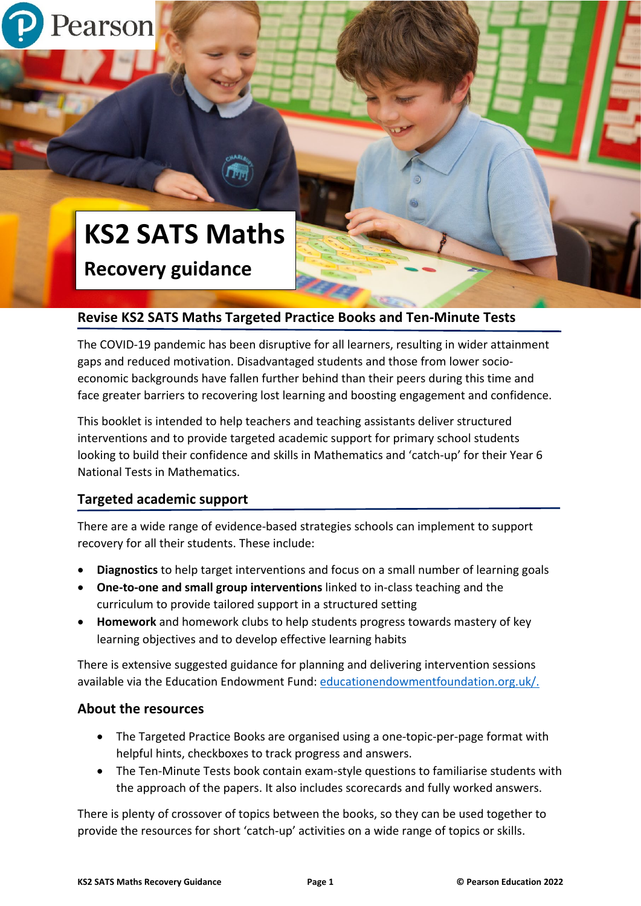

# **KS2 SATS Maths**

**Recovery guidance**

# **Revise KS2 SATS Maths Targeted Practice Books and Ten-Minute Tests**

The COVID-19 pandemic has been disruptive for all learners, resulting in wider attainment gaps and reduced motivation. Disadvantaged students and those from lower socioeconomic backgrounds have fallen further behind than their peers during this time and face greater barriers to recovering lost learning and boosting engagement and confidence.

This booklet is intended to help teachers and teaching assistants deliver structured interventions and to provide targeted academic support for primary school students looking to build their confidence and skills in Mathematics and 'catch-up' for their Year 6 National Tests in Mathematics.

## **Targeted academic support**

There are a wide range of evidence-based strategies schools can implement to support recovery for all their students. These include:

- **Diagnostics** to help target interventions and focus on a small number of learning goals
- **One-to-one and small group interventions** linked to in-class teaching and the curriculum to provide tailored support in a structured setting
- **Homework** and homework clubs to help students progress towards mastery of key learning objectives and to develop effective learning habits

There is extensive suggested guidance for planning and delivering intervention sessions available via the Education Endowment Fund: [educationendowmentfoundation.org.uk/.](https://educationendowmentfoundation.org.uk/)

## **About the resources**

- The Targeted Practice Books are organised using a one-topic-per-page format with helpful hints, checkboxes to track progress and answers.
- The Ten-Minute Tests book contain exam-style questions to familiarise students with the approach of the papers. It also includes scorecards and fully worked answers.

There is plenty of crossover of topics between the books, so they can be used together to provide the resources for short 'catch-up' activities on a wide range of topics or skills.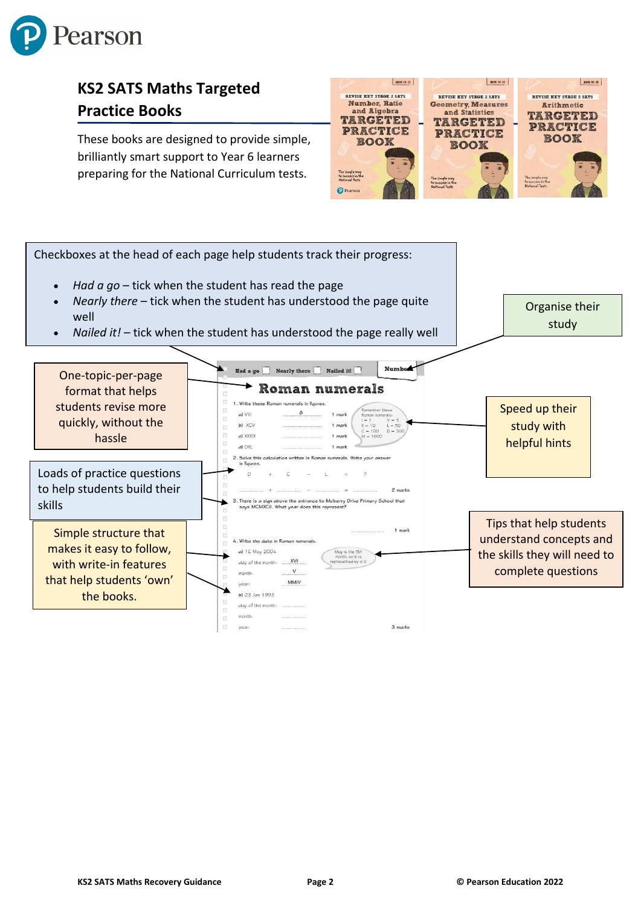

# **KS2 SATS Maths Targeted Practice Books**

These books are designed to provide simple, brilliantly smart support to Year 6 learners preparing for the National Curriculum tests.



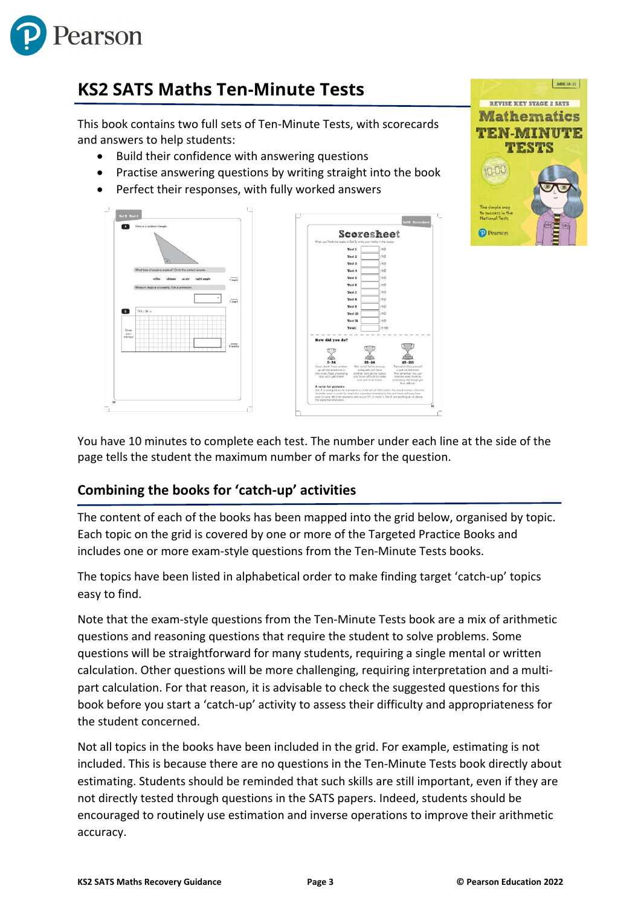

# **KS2 SATS Maths Ten-Minute Tests**

This book contains two full sets of Ten-Minute Tests, with scorecards and answers to help students:

- Build their confidence with answering questions
- Practise answering questions by writing straight into the book
- Perfect their responses, with fully worked answers





You have 10 minutes to complete each test. The number under each line at the side of the page tells the student the maximum number of marks for the question.

# **Combining the books for 'catch-up' activities**

The content of each of the books has been mapped into the grid below, organised by topic. Each topic on the grid is covered by one or more of the Targeted Practice Books and includes one or more exam-style questions from the Ten-Minute Tests books.

The topics have been listed in alphabetical order to make finding target 'catch-up' topics easy to find.

Note that the exam-style questions from the Ten-Minute Tests book are a mix of arithmetic questions and reasoning questions that require the student to solve problems. Some questions will be straightforward for many students, requiring a single mental or written calculation. Other questions will be more challenging, requiring interpretation and a multipart calculation. For that reason, it is advisable to check the suggested questions for this book before you start a 'catch-up' activity to assess their difficulty and appropriateness for the student concerned.

Not all topics in the books have been included in the grid. For example, estimating is not included. This is because there are no questions in the Ten-Minute Tests book directly about estimating. Students should be reminded that such skills are still important, even if they are not directly tested through questions in the SATS papers. Indeed, students should be encouraged to routinely use estimation and inverse operations to improve their arithmetic accuracy.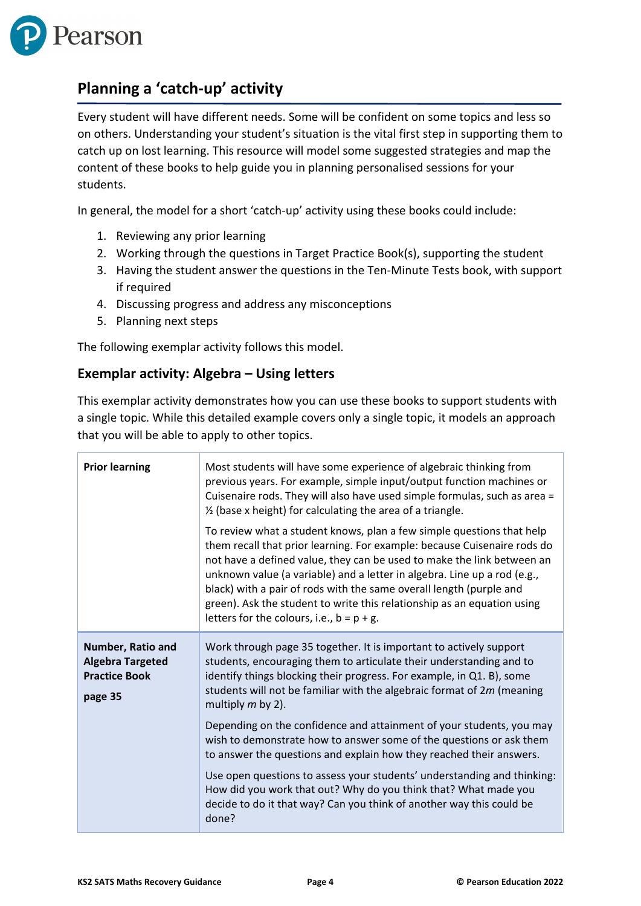

# **Planning a 'catch-up' activity**

Every student will have different needs. Some will be confident on some topics and less so on others. Understanding your student's situation is the vital first step in supporting them to catch up on lost learning. This resource will model some suggested strategies and map the content of these books to help guide you in planning personalised sessions for your students.

In general, the model for a short 'catch-up' activity using these books could include:

- 1. Reviewing any prior learning
- 2. Working through the questions in Target Practice Book(s), supporting the student
- 3. Having the student answer the questions in the Ten-Minute Tests book, with support if required
- 4. Discussing progress and address any misconceptions
- 5. Planning next steps

The following exemplar activity follows this model.

#### **Exemplar activity: Algebra – Using letters**

This exemplar activity demonstrates how you can use these books to support students with a single topic. While this detailed example covers only a single topic, it models an approach that you will be able to apply to other topics.

| <b>Prior learning</b>                                                           | Most students will have some experience of algebraic thinking from<br>previous years. For example, simple input/output function machines or<br>Cuisenaire rods. They will also have used simple formulas, such as area =<br>$\frac{1}{2}$ (base x height) for calculating the area of a triangle.<br>To review what a student knows, plan a few simple questions that help<br>them recall that prior learning. For example: because Cuisenaire rods do<br>not have a defined value, they can be used to make the link between an<br>unknown value (a variable) and a letter in algebra. Line up a rod (e.g.,<br>black) with a pair of rods with the same overall length (purple and<br>green). Ask the student to write this relationship as an equation using<br>letters for the colours, i.e., $b = p + g$ . |
|---------------------------------------------------------------------------------|----------------------------------------------------------------------------------------------------------------------------------------------------------------------------------------------------------------------------------------------------------------------------------------------------------------------------------------------------------------------------------------------------------------------------------------------------------------------------------------------------------------------------------------------------------------------------------------------------------------------------------------------------------------------------------------------------------------------------------------------------------------------------------------------------------------|
| Number, Ratio and<br><b>Algebra Targeted</b><br><b>Practice Book</b><br>page 35 | Work through page 35 together. It is important to actively support<br>students, encouraging them to articulate their understanding and to<br>identify things blocking their progress. For example, in Q1. B), some<br>students will not be familiar with the algebraic format of 2m (meaning<br>multiply $m$ by 2).<br>Depending on the confidence and attainment of your students, you may<br>wish to demonstrate how to answer some of the questions or ask them<br>to answer the questions and explain how they reached their answers.<br>Use open questions to assess your students' understanding and thinking:<br>How did you work that out? Why do you think that? What made you<br>decide to do it that way? Can you think of another way this could be<br>done?                                       |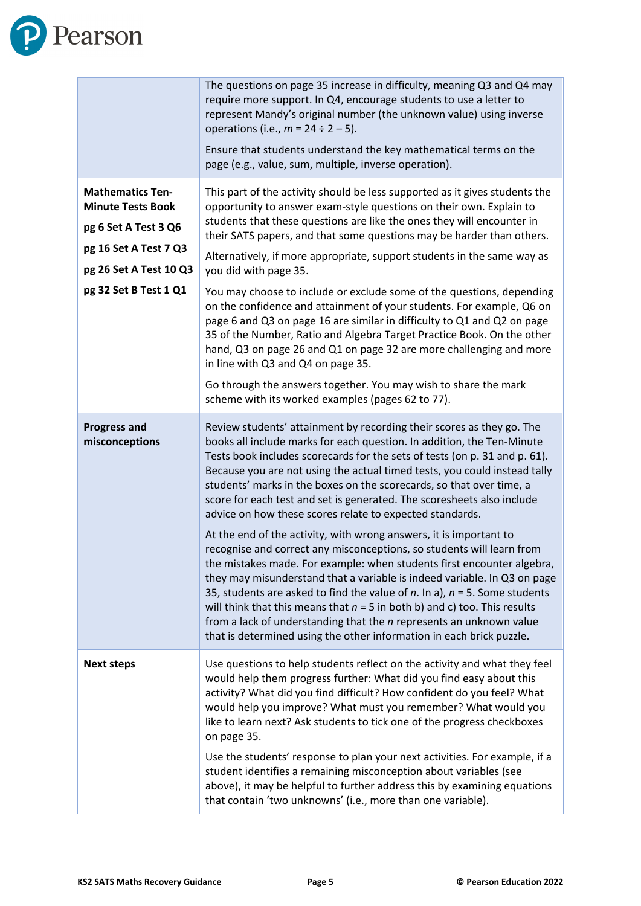

|                                                                                                                                                         | The questions on page 35 increase in difficulty, meaning Q3 and Q4 may<br>require more support. In Q4, encourage students to use a letter to<br>represent Mandy's original number (the unknown value) using inverse<br>operations (i.e., $m = 24 \div 2 - 5$ ).<br>Ensure that students understand the key mathematical terms on the<br>page (e.g., value, sum, multiple, inverse operation).                                                                                                                                                                                                                                                                                                                                                                                                                                                                                                                                                                                                                                                                                                                                                          |
|---------------------------------------------------------------------------------------------------------------------------------------------------------|--------------------------------------------------------------------------------------------------------------------------------------------------------------------------------------------------------------------------------------------------------------------------------------------------------------------------------------------------------------------------------------------------------------------------------------------------------------------------------------------------------------------------------------------------------------------------------------------------------------------------------------------------------------------------------------------------------------------------------------------------------------------------------------------------------------------------------------------------------------------------------------------------------------------------------------------------------------------------------------------------------------------------------------------------------------------------------------------------------------------------------------------------------|
| <b>Mathematics Ten-</b><br><b>Minute Tests Book</b><br>pg 6 Set A Test 3 Q6<br>pg 16 Set A Test 7 Q3<br>pg 26 Set A Test 10 Q3<br>pg 32 Set B Test 1 Q1 | This part of the activity should be less supported as it gives students the<br>opportunity to answer exam-style questions on their own. Explain to<br>students that these questions are like the ones they will encounter in<br>their SATS papers, and that some questions may be harder than others.<br>Alternatively, if more appropriate, support students in the same way as<br>you did with page 35.<br>You may choose to include or exclude some of the questions, depending<br>on the confidence and attainment of your students. For example, Q6 on<br>page 6 and Q3 on page 16 are similar in difficulty to Q1 and Q2 on page<br>35 of the Number, Ratio and Algebra Target Practice Book. On the other<br>hand, Q3 on page 26 and Q1 on page 32 are more challenging and more<br>in line with Q3 and Q4 on page 35.<br>Go through the answers together. You may wish to share the mark                                                                                                                                                                                                                                                       |
|                                                                                                                                                         | scheme with its worked examples (pages 62 to 77).                                                                                                                                                                                                                                                                                                                                                                                                                                                                                                                                                                                                                                                                                                                                                                                                                                                                                                                                                                                                                                                                                                      |
| <b>Progress and</b><br>misconceptions                                                                                                                   | Review students' attainment by recording their scores as they go. The<br>books all include marks for each question. In addition, the Ten-Minute<br>Tests book includes scorecards for the sets of tests (on p. 31 and p. 61).<br>Because you are not using the actual timed tests, you could instead tally<br>students' marks in the boxes on the scorecards, so that over time, a<br>score for each test and set is generated. The scoresheets also include<br>advice on how these scores relate to expected standards.<br>At the end of the activity, with wrong answers, it is important to<br>recognise and correct any misconceptions, so students will learn from<br>the mistakes made. For example: when students first encounter algebra,<br>they may misunderstand that a variable is indeed variable. In Q3 on page<br>35, students are asked to find the value of $n$ . In a), $n = 5$ . Some students<br>will think that this means that $n = 5$ in both b) and c) too. This results<br>from a lack of understanding that the <i>n</i> represents an unknown value<br>that is determined using the other information in each brick puzzle. |
| <b>Next steps</b>                                                                                                                                       | Use questions to help students reflect on the activity and what they feel<br>would help them progress further: What did you find easy about this<br>activity? What did you find difficult? How confident do you feel? What<br>would help you improve? What must you remember? What would you<br>like to learn next? Ask students to tick one of the progress checkboxes<br>on page 35.<br>Use the students' response to plan your next activities. For example, if a<br>student identifies a remaining misconception about variables (see<br>above), it may be helpful to further address this by examining equations<br>that contain 'two unknowns' (i.e., more than one variable).                                                                                                                                                                                                                                                                                                                                                                                                                                                                   |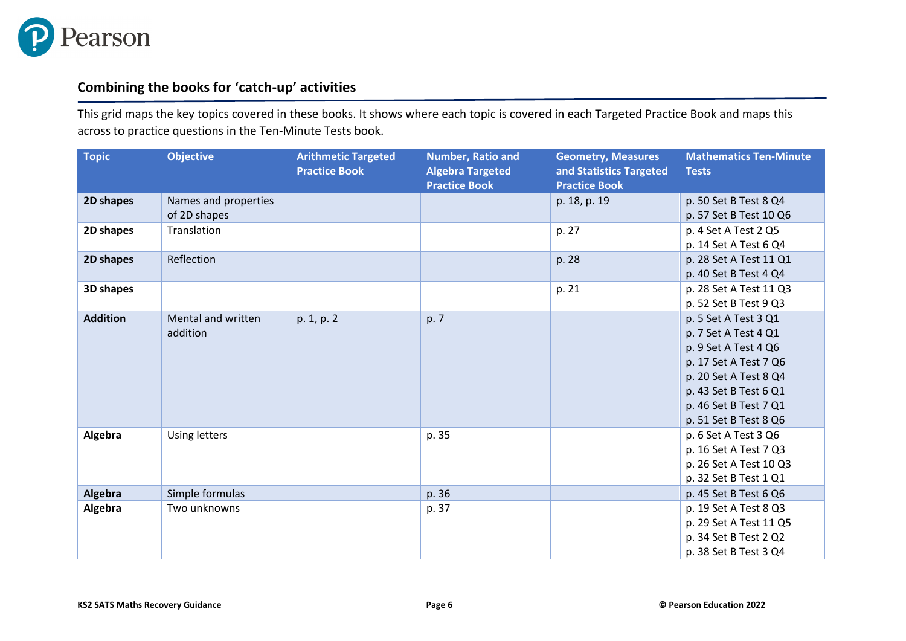

## **Combining the books for 'catch-up' activities**

This grid maps the key topics covered in these books. It shows where each topic is covered in each Targeted Practice Book and maps this across to practice questions in the Ten-Minute Tests book.

| <b>Topic</b>    | <b>Objective</b>                     | <b>Arithmetic Targeted</b><br><b>Practice Book</b> | <b>Number, Ratio and</b><br><b>Algebra Targeted</b><br><b>Practice Book</b> | <b>Geometry, Measures</b><br>and Statistics Targeted<br><b>Practice Book</b> | <b>Mathematics Ten-Minute</b><br><b>Tests</b>                                                                                                                                                     |
|-----------------|--------------------------------------|----------------------------------------------------|-----------------------------------------------------------------------------|------------------------------------------------------------------------------|---------------------------------------------------------------------------------------------------------------------------------------------------------------------------------------------------|
| 2D shapes       | Names and properties<br>of 2D shapes |                                                    |                                                                             | p. 18, p. 19                                                                 | p. 50 Set B Test 8 Q4<br>p. 57 Set B Test 10 Q6                                                                                                                                                   |
| 2D shapes       | Translation                          |                                                    |                                                                             | p. 27                                                                        | p. 4 Set A Test 2 Q5<br>p. 14 Set A Test 6 Q4                                                                                                                                                     |
| 2D shapes       | Reflection                           |                                                    |                                                                             | p. 28                                                                        | p. 28 Set A Test 11 Q1<br>p. 40 Set B Test 4 Q4                                                                                                                                                   |
| 3D shapes       |                                      |                                                    |                                                                             | p. 21                                                                        | p. 28 Set A Test 11 Q3<br>p. 52 Set B Test 9 Q3                                                                                                                                                   |
| <b>Addition</b> | Mental and written<br>addition       | p. 1, p. 2                                         | p. 7                                                                        |                                                                              | p. 5 Set A Test 3 Q1<br>p. 7 Set A Test 4 Q1<br>p. 9 Set A Test 4 Q6<br>p. 17 Set A Test 7 Q6<br>p. 20 Set A Test 8 Q4<br>p. 43 Set B Test 6 Q1<br>p. 46 Set B Test 7 Q1<br>p. 51 Set B Test 8 Q6 |
| Algebra         | <b>Using letters</b>                 |                                                    | p. 35                                                                       |                                                                              | p. 6 Set A Test 3 Q6<br>p. 16 Set A Test 7 Q3<br>p. 26 Set A Test 10 Q3<br>p. 32 Set B Test 1 Q1                                                                                                  |
| Algebra         | Simple formulas                      |                                                    | p. 36                                                                       |                                                                              | p. 45 Set B Test 6 Q6                                                                                                                                                                             |
| Algebra         | Two unknowns                         |                                                    | p. 37                                                                       |                                                                              | p. 19 Set A Test 8 Q3<br>p. 29 Set A Test 11 Q5<br>p. 34 Set B Test 2 Q2<br>p. 38 Set B Test 3 Q4                                                                                                 |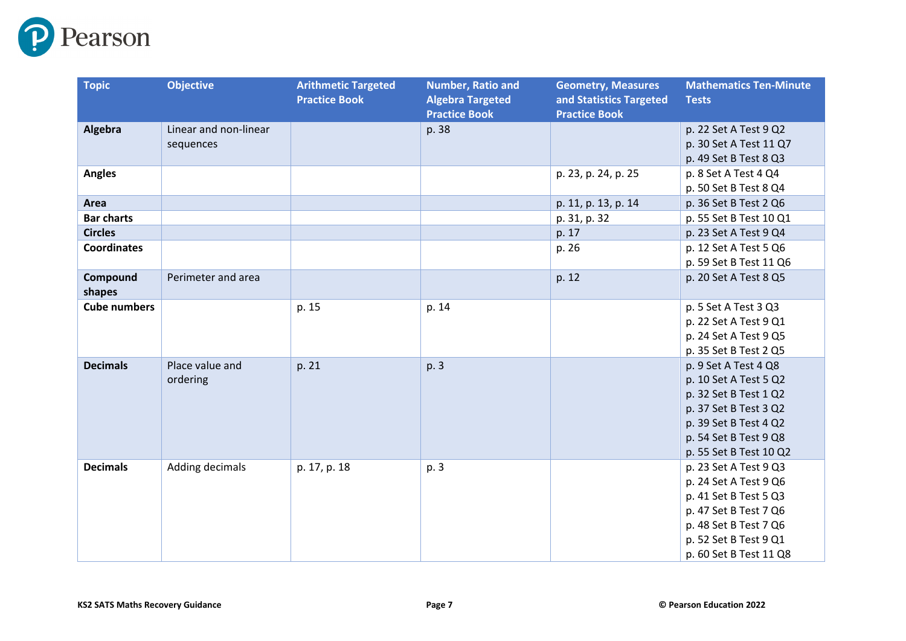

| <b>Topic</b>        | <b>Objective</b>                   | <b>Arithmetic Targeted</b><br><b>Practice Book</b> | <b>Number, Ratio and</b><br><b>Algebra Targeted</b><br><b>Practice Book</b> | <b>Geometry, Measures</b><br>and Statistics Targeted<br><b>Practice Book</b> | <b>Mathematics Ten-Minute</b><br><b>Tests</b>                                                                                                                                |
|---------------------|------------------------------------|----------------------------------------------------|-----------------------------------------------------------------------------|------------------------------------------------------------------------------|------------------------------------------------------------------------------------------------------------------------------------------------------------------------------|
| Algebra             | Linear and non-linear<br>sequences |                                                    | p. 38                                                                       |                                                                              | p. 22 Set A Test 9 Q2<br>p. 30 Set A Test 11 Q7<br>p. 49 Set B Test 8 Q3                                                                                                     |
| <b>Angles</b>       |                                    |                                                    |                                                                             | p. 23, p. 24, p. 25                                                          | p. 8 Set A Test 4 Q4<br>p. 50 Set B Test 8 Q4                                                                                                                                |
| Area                |                                    |                                                    |                                                                             | p. 11, p. 13, p. 14                                                          | p. 36 Set B Test 2 Q6                                                                                                                                                        |
| <b>Bar charts</b>   |                                    |                                                    |                                                                             | p. 31, p. 32                                                                 | p. 55 Set B Test 10 Q1                                                                                                                                                       |
| <b>Circles</b>      |                                    |                                                    |                                                                             | p. 17                                                                        | p. 23 Set A Test 9 Q4                                                                                                                                                        |
| <b>Coordinates</b>  |                                    |                                                    |                                                                             | p. 26                                                                        | p. 12 Set A Test 5 Q6<br>p. 59 Set B Test 11 Q6                                                                                                                              |
| Compound<br>shapes  | Perimeter and area                 |                                                    |                                                                             | p. 12                                                                        | p. 20 Set A Test 8 Q5                                                                                                                                                        |
| <b>Cube numbers</b> |                                    | p. 15                                              | p. 14                                                                       |                                                                              | p. 5 Set A Test 3 Q3<br>p. 22 Set A Test 9 Q1<br>p. 24 Set A Test 9 Q5<br>p. 35 Set B Test 2 Q5                                                                              |
| <b>Decimals</b>     | Place value and<br>ordering        | p. 21                                              | p. 3                                                                        |                                                                              | p. 9 Set A Test 4 Q8<br>p. 10 Set A Test 5 Q2<br>p. 32 Set B Test 1 Q2<br>p. 37 Set B Test 3 Q2<br>p. 39 Set B Test 4 Q2<br>p. 54 Set B Test 9 Q8<br>p. 55 Set B Test 10 Q2  |
| <b>Decimals</b>     | Adding decimals                    | p. 17, p. 18                                       | p. 3                                                                        |                                                                              | p. 23 Set A Test 9 Q3<br>p. 24 Set A Test 9 Q6<br>p. 41 Set B Test 5 Q3<br>p. 47 Set B Test 7 Q6<br>p. 48 Set B Test 7 Q6<br>p. 52 Set B Test 9 Q1<br>p. 60 Set B Test 11 Q8 |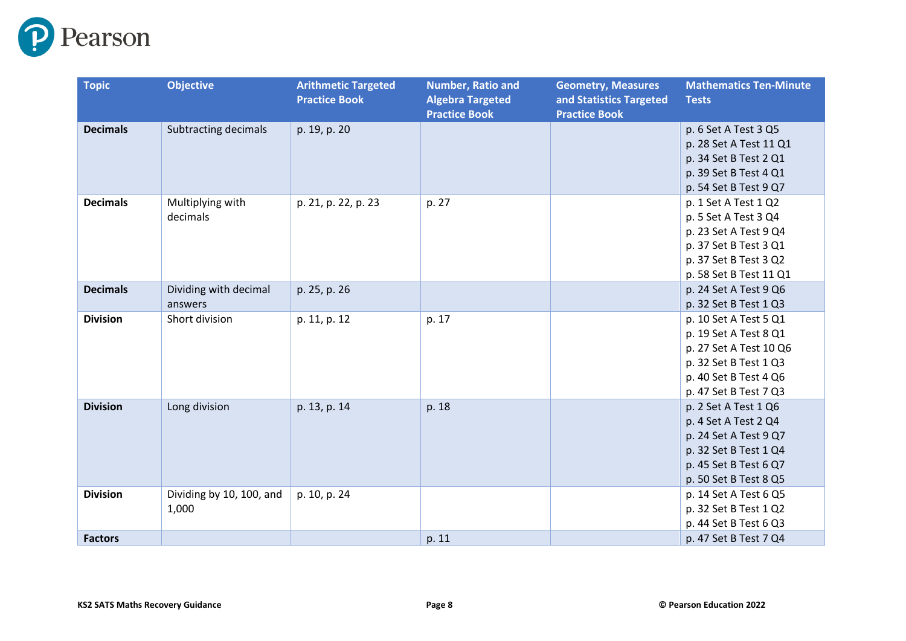

| <b>Topic</b>    | <b>Objective</b>                  | <b>Arithmetic Targeted</b><br><b>Practice Book</b> | <b>Number, Ratio and</b><br><b>Algebra Targeted</b><br><b>Practice Book</b> | <b>Geometry, Measures</b><br>and Statistics Targeted<br><b>Practice Book</b> | <b>Mathematics Ten-Minute</b><br><b>Tests</b>                                                                                                       |
|-----------------|-----------------------------------|----------------------------------------------------|-----------------------------------------------------------------------------|------------------------------------------------------------------------------|-----------------------------------------------------------------------------------------------------------------------------------------------------|
| <b>Decimals</b> | <b>Subtracting decimals</b>       | p. 19, p. 20                                       |                                                                             |                                                                              | p. 6 Set A Test 3 Q5<br>p. 28 Set A Test 11 Q1<br>p. 34 Set B Test 2 Q1<br>p. 39 Set B Test 4 Q1<br>p. 54 Set B Test 9 Q7                           |
| <b>Decimals</b> | Multiplying with<br>decimals      | p. 21, p. 22, p. 23                                | p. 27                                                                       |                                                                              | p. 1 Set A Test 1 Q2<br>p. 5 Set A Test 3 Q4<br>p. 23 Set A Test 9 Q4<br>p. 37 Set B Test 3 Q1<br>p. 37 Set B Test 3 Q2<br>p. 58 Set B Test 11 Q1   |
| <b>Decimals</b> | Dividing with decimal<br>answers  | p. 25, p. 26                                       |                                                                             |                                                                              | p. 24 Set A Test 9 Q6<br>p. 32 Set B Test 1 Q3                                                                                                      |
| <b>Division</b> | Short division                    | p. 11, p. 12                                       | p. 17                                                                       |                                                                              | p. 10 Set A Test 5 Q1<br>p. 19 Set A Test 8 Q1<br>p. 27 Set A Test 10 Q6<br>p. 32 Set B Test 1 Q3<br>p. 40 Set B Test 4 Q6<br>p. 47 Set B Test 7 Q3 |
| <b>Division</b> | Long division                     | p. 13, p. 14                                       | p. 18                                                                       |                                                                              | p. 2 Set A Test 1 Q6<br>p. 4 Set A Test 2 Q4<br>p. 24 Set A Test 9 Q7<br>p. 32 Set B Test 1 Q4<br>p. 45 Set B Test 6 Q7<br>p. 50 Set B Test 8 Q5    |
| <b>Division</b> | Dividing by 10, 100, and<br>1,000 | p. 10, p. 24                                       |                                                                             |                                                                              | p. 14 Set A Test 6 Q5<br>p. 32 Set B Test 1 Q2<br>p. 44 Set B Test 6 Q3                                                                             |
| <b>Factors</b>  |                                   |                                                    | p. 11                                                                       |                                                                              | p. 47 Set B Test 7 Q4                                                                                                                               |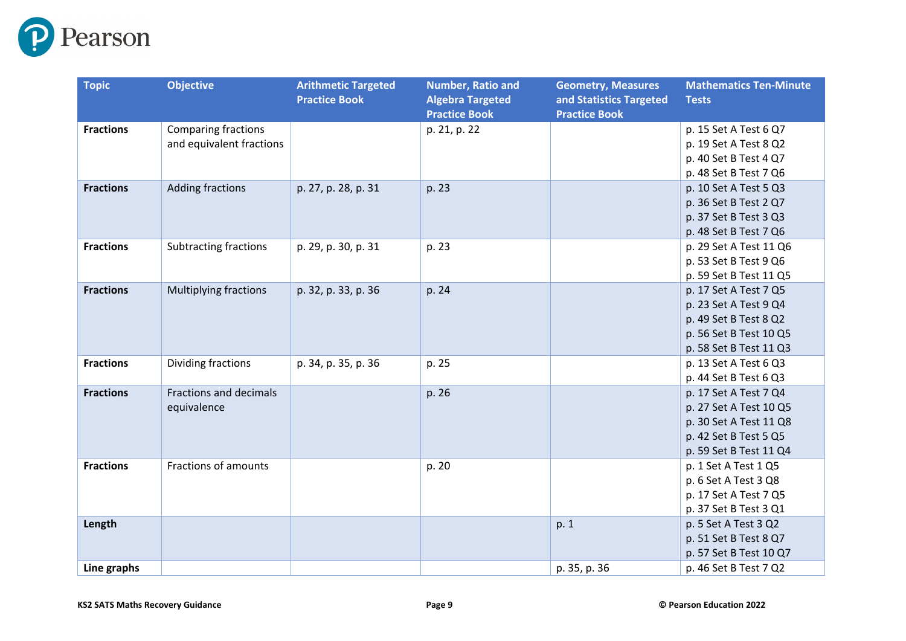

| <b>Topic</b>     | <b>Objective</b>              | <b>Arithmetic Targeted</b> | Number, Ratio and       | <b>Geometry, Measures</b> | <b>Mathematics Ten-Minute</b> |
|------------------|-------------------------------|----------------------------|-------------------------|---------------------------|-------------------------------|
|                  |                               | <b>Practice Book</b>       | <b>Algebra Targeted</b> | and Statistics Targeted   | <b>Tests</b>                  |
|                  |                               |                            | <b>Practice Book</b>    | <b>Practice Book</b>      |                               |
| <b>Fractions</b> | <b>Comparing fractions</b>    |                            | p. 21, p. 22            |                           | p. 15 Set A Test 6 Q7         |
|                  | and equivalent fractions      |                            |                         |                           | p. 19 Set A Test 8 Q2         |
|                  |                               |                            |                         |                           | p. 40 Set B Test 4 Q7         |
|                  |                               |                            |                         |                           | p. 48 Set B Test 7 Q6         |
| <b>Fractions</b> | <b>Adding fractions</b>       | p. 27, p. 28, p. 31        | p. 23                   |                           | p. 10 Set A Test 5 Q3         |
|                  |                               |                            |                         |                           | p. 36 Set B Test 2 Q7         |
|                  |                               |                            |                         |                           | p. 37 Set B Test 3 Q3         |
|                  |                               |                            |                         |                           | p. 48 Set B Test 7 Q6         |
| <b>Fractions</b> | <b>Subtracting fractions</b>  | p. 29, p. 30, p. 31        | p. 23                   |                           | p. 29 Set A Test 11 Q6        |
|                  |                               |                            |                         |                           | p. 53 Set B Test 9 Q6         |
|                  |                               |                            |                         |                           | p. 59 Set B Test 11 Q5        |
| <b>Fractions</b> | <b>Multiplying fractions</b>  | p. 32, p. 33, p. 36        | p. 24                   |                           | p. 17 Set A Test 7 Q5         |
|                  |                               |                            |                         |                           | p. 23 Set A Test 9 Q4         |
|                  |                               |                            |                         |                           | p. 49 Set B Test 8 Q2         |
|                  |                               |                            |                         |                           | p. 56 Set B Test 10 Q5        |
|                  |                               |                            |                         |                           | p. 58 Set B Test 11 Q3        |
| <b>Fractions</b> | Dividing fractions            | p. 34, p. 35, p. 36        | p. 25                   |                           | p. 13 Set A Test 6 Q3         |
|                  |                               |                            |                         |                           | p. 44 Set B Test 6 Q3         |
| <b>Fractions</b> | <b>Fractions and decimals</b> |                            | p. 26                   |                           | p. 17 Set A Test 7 Q4         |
|                  | equivalence                   |                            |                         |                           | p. 27 Set A Test 10 Q5        |
|                  |                               |                            |                         |                           | p. 30 Set A Test 11 Q8        |
|                  |                               |                            |                         |                           | p. 42 Set B Test 5 Q5         |
|                  |                               |                            |                         |                           | p. 59 Set B Test 11 Q4        |
| <b>Fractions</b> | Fractions of amounts          |                            | p. 20                   |                           | p. 1 Set A Test 1 Q5          |
|                  |                               |                            |                         |                           | p. 6 Set A Test 3 Q8          |
|                  |                               |                            |                         |                           | p. 17 Set A Test 7 Q5         |
|                  |                               |                            |                         |                           | p. 37 Set B Test 3 Q1         |
| Length           |                               |                            |                         | p. 1                      | p. 5 Set A Test 3 Q2          |
|                  |                               |                            |                         |                           | p. 51 Set B Test 8 Q7         |
|                  |                               |                            |                         |                           | p. 57 Set B Test 10 Q7        |
| Line graphs      |                               |                            |                         | p. 35, p. 36              | p. 46 Set B Test 7 Q2         |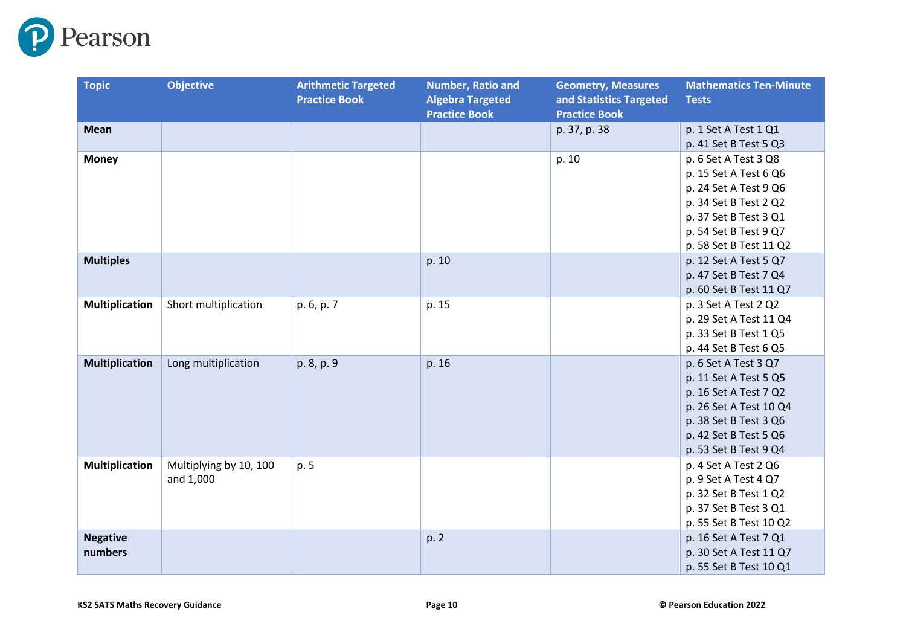

| <b>Topic</b>          | <b>Objective</b>       | <b>Arithmetic Targeted</b> | <b>Number, Ratio and</b> | <b>Geometry, Measures</b> | <b>Mathematics Ten-Minute</b> |
|-----------------------|------------------------|----------------------------|--------------------------|---------------------------|-------------------------------|
|                       |                        | <b>Practice Book</b>       | <b>Algebra Targeted</b>  | and Statistics Targeted   | <b>Tests</b>                  |
|                       |                        |                            | <b>Practice Book</b>     | <b>Practice Book</b>      |                               |
| <b>Mean</b>           |                        |                            |                          | p. 37, p. 38              | p. 1 Set A Test 1 Q1          |
|                       |                        |                            |                          |                           | p. 41 Set B Test 5 Q3         |
| <b>Money</b>          |                        |                            |                          | p. 10                     | p. 6 Set A Test 3 Q8          |
|                       |                        |                            |                          |                           | p. 15 Set A Test 6 Q6         |
|                       |                        |                            |                          |                           | p. 24 Set A Test 9 Q6         |
|                       |                        |                            |                          |                           | p. 34 Set B Test 2 Q2         |
|                       |                        |                            |                          |                           | p. 37 Set B Test 3 Q1         |
|                       |                        |                            |                          |                           | p. 54 Set B Test 9 Q7         |
|                       |                        |                            |                          |                           | p. 58 Set B Test 11 Q2        |
| <b>Multiples</b>      |                        |                            | p. 10                    |                           | p. 12 Set A Test 5 Q7         |
|                       |                        |                            |                          |                           | p. 47 Set B Test 7 Q4         |
|                       |                        |                            |                          |                           | p. 60 Set B Test 11 Q7        |
| <b>Multiplication</b> | Short multiplication   | p. 6, p. 7                 | p. 15                    |                           | p. 3 Set A Test 2 Q2          |
|                       |                        |                            |                          |                           | p. 29 Set A Test 11 Q4        |
|                       |                        |                            |                          |                           | p. 33 Set B Test 1 Q5         |
|                       |                        |                            |                          |                           | p. 44 Set B Test 6 Q5         |
| <b>Multiplication</b> | Long multiplication    | p. 8, p. 9                 | p. 16                    |                           | p. 6 Set A Test 3 Q7          |
|                       |                        |                            |                          |                           | p. 11 Set A Test 5 Q5         |
|                       |                        |                            |                          |                           | p. 16 Set A Test 7 Q2         |
|                       |                        |                            |                          |                           | p. 26 Set A Test 10 Q4        |
|                       |                        |                            |                          |                           | p. 38 Set B Test 3 Q6         |
|                       |                        |                            |                          |                           | p. 42 Set B Test 5 Q6         |
|                       |                        |                            |                          |                           | p. 53 Set B Test 9 Q4         |
| <b>Multiplication</b> | Multiplying by 10, 100 | p. 5                       |                          |                           | p. 4 Set A Test 2 Q6          |
|                       | and 1,000              |                            |                          |                           | p. 9 Set A Test 4 Q7          |
|                       |                        |                            |                          |                           | p. 32 Set B Test 1 Q2         |
|                       |                        |                            |                          |                           | p. 37 Set B Test 3 Q1         |
|                       |                        |                            |                          |                           | p. 55 Set B Test 10 Q2        |
| <b>Negative</b>       |                        |                            | p. 2                     |                           | p. 16 Set A Test 7 Q1         |
| numbers               |                        |                            |                          |                           | p. 30 Set A Test 11 Q7        |
|                       |                        |                            |                          |                           | p. 55 Set B Test 10 Q1        |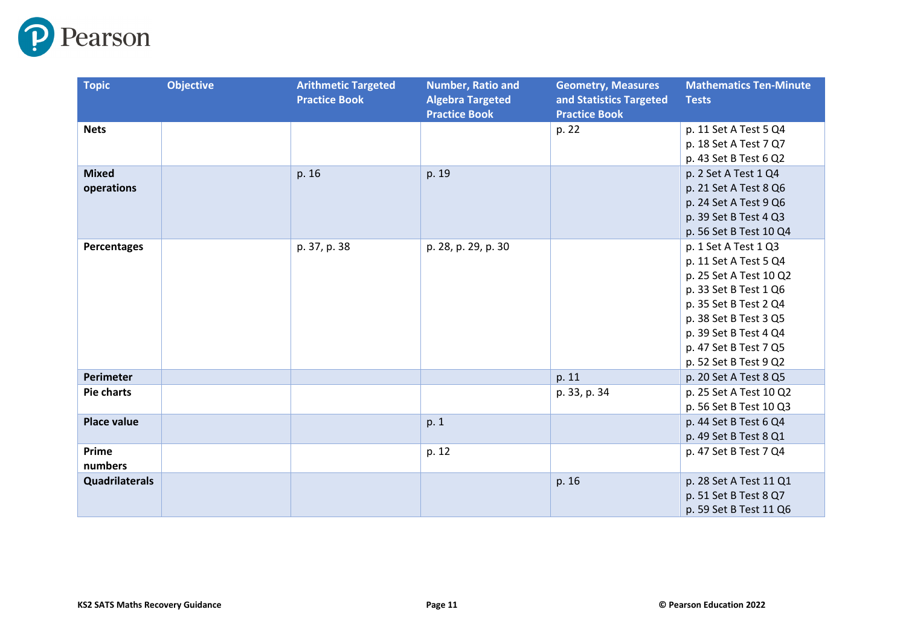

| <b>Topic</b>          | <b>Objective</b> | <b>Arithmetic Targeted</b> | <b>Number, Ratio and</b>                        | <b>Geometry, Measures</b>                       | <b>Mathematics Ten-Minute</b> |
|-----------------------|------------------|----------------------------|-------------------------------------------------|-------------------------------------------------|-------------------------------|
|                       |                  | <b>Practice Book</b>       | <b>Algebra Targeted</b><br><b>Practice Book</b> | and Statistics Targeted<br><b>Practice Book</b> | <b>Tests</b>                  |
| <b>Nets</b>           |                  |                            |                                                 | p. 22                                           | p. 11 Set A Test 5 Q4         |
|                       |                  |                            |                                                 |                                                 | p. 18 Set A Test 7 Q7         |
|                       |                  |                            |                                                 |                                                 | p. 43 Set B Test 6 Q2         |
| <b>Mixed</b>          |                  | p. 16                      | p. 19                                           |                                                 | p. 2 Set A Test 1 Q4          |
| operations            |                  |                            |                                                 |                                                 | p. 21 Set A Test 8 Q6         |
|                       |                  |                            |                                                 |                                                 | p. 24 Set A Test 9 Q6         |
|                       |                  |                            |                                                 |                                                 | p. 39 Set B Test 4 Q3         |
|                       |                  |                            |                                                 |                                                 | p. 56 Set B Test 10 Q4        |
| Percentages           |                  | p. 37, p. 38               | p. 28, p. 29, p. 30                             |                                                 | p. 1 Set A Test 1 Q3          |
|                       |                  |                            |                                                 |                                                 | p. 11 Set A Test 5 Q4         |
|                       |                  |                            |                                                 |                                                 | p. 25 Set A Test 10 Q2        |
|                       |                  |                            |                                                 |                                                 | p. 33 Set B Test 1 Q6         |
|                       |                  |                            |                                                 |                                                 | p. 35 Set B Test 2 Q4         |
|                       |                  |                            |                                                 |                                                 | p. 38 Set B Test 3 Q5         |
|                       |                  |                            |                                                 |                                                 | p. 39 Set B Test 4 Q4         |
|                       |                  |                            |                                                 |                                                 | p. 47 Set B Test 7 Q5         |
|                       |                  |                            |                                                 |                                                 | p. 52 Set B Test 9 Q2         |
| Perimeter             |                  |                            |                                                 | p. 11                                           | p. 20 Set A Test 8 Q5         |
| <b>Pie charts</b>     |                  |                            |                                                 | p. 33, p. 34                                    | p. 25 Set A Test 10 Q2        |
|                       |                  |                            |                                                 |                                                 | p. 56 Set B Test 10 Q3        |
| <b>Place value</b>    |                  |                            | p. 1                                            |                                                 | p. 44 Set B Test 6 Q4         |
|                       |                  |                            |                                                 |                                                 | p. 49 Set B Test 8 Q1         |
| Prime                 |                  |                            | p. 12                                           |                                                 | p. 47 Set B Test 7 Q4         |
| numbers               |                  |                            |                                                 |                                                 |                               |
| <b>Quadrilaterals</b> |                  |                            |                                                 | p. 16                                           | p. 28 Set A Test 11 Q1        |
|                       |                  |                            |                                                 |                                                 | p. 51 Set B Test 8 Q7         |
|                       |                  |                            |                                                 |                                                 | p. 59 Set B Test 11 Q6        |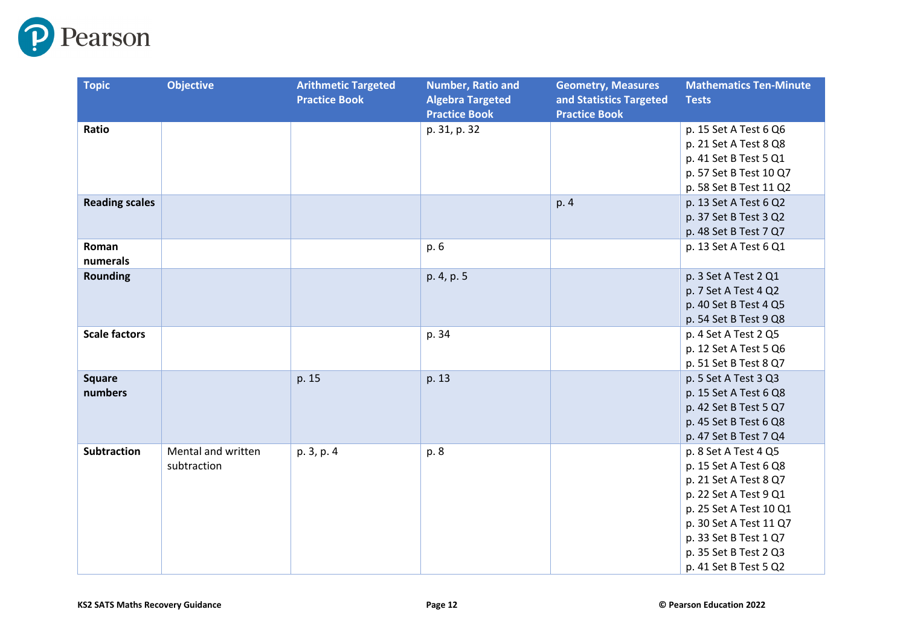

| <b>Topic</b>             | <b>Objective</b>                  | <b>Arithmetic Targeted</b><br><b>Practice Book</b> | <b>Number, Ratio and</b><br><b>Algebra Targeted</b><br><b>Practice Book</b> | <b>Geometry, Measures</b><br>and Statistics Targeted<br><b>Practice Book</b> | <b>Mathematics Ten-Minute</b><br><b>Tests</b>                                                                                                                                                                                  |
|--------------------------|-----------------------------------|----------------------------------------------------|-----------------------------------------------------------------------------|------------------------------------------------------------------------------|--------------------------------------------------------------------------------------------------------------------------------------------------------------------------------------------------------------------------------|
| Ratio                    |                                   |                                                    | p. 31, p. 32                                                                |                                                                              | p. 15 Set A Test 6 Q6<br>p. 21 Set A Test 8 Q8<br>p. 41 Set B Test 5 Q1<br>p. 57 Set B Test 10 Q7<br>p. 58 Set B Test 11 Q2                                                                                                    |
| <b>Reading scales</b>    |                                   |                                                    |                                                                             | p. 4                                                                         | p. 13 Set A Test 6 Q2<br>p. 37 Set B Test 3 Q2<br>p. 48 Set B Test 7 Q7                                                                                                                                                        |
| Roman<br>numerals        |                                   |                                                    | p. 6                                                                        |                                                                              | p. 13 Set A Test 6 Q1                                                                                                                                                                                                          |
| <b>Rounding</b>          |                                   |                                                    | p. 4, p. 5                                                                  |                                                                              | p. 3 Set A Test 2 Q1<br>p. 7 Set A Test 4 Q2<br>p. 40 Set B Test 4 Q5<br>p. 54 Set B Test 9 Q8                                                                                                                                 |
| <b>Scale factors</b>     |                                   |                                                    | p. 34                                                                       |                                                                              | p. 4 Set A Test 2 Q5<br>p. 12 Set A Test 5 Q6<br>p. 51 Set B Test 8 Q7                                                                                                                                                         |
| <b>Square</b><br>numbers |                                   | p. 15                                              | p. 13                                                                       |                                                                              | p. 5 Set A Test 3 Q3<br>p. 15 Set A Test 6 Q8<br>p. 42 Set B Test 5 Q7<br>p. 45 Set B Test 6 Q8<br>p. 47 Set B Test 7 Q4                                                                                                       |
| <b>Subtraction</b>       | Mental and written<br>subtraction | p. 3, p. 4                                         | p. 8                                                                        |                                                                              | p. 8 Set A Test 4 Q5<br>p. 15 Set A Test 6 Q8<br>p. 21 Set A Test 8 Q7<br>p. 22 Set A Test 9 Q1<br>p. 25 Set A Test 10 Q1<br>p. 30 Set A Test 11 Q7<br>p. 33 Set B Test 1 Q7<br>p. 35 Set B Test 2 Q3<br>p. 41 Set B Test 5 Q2 |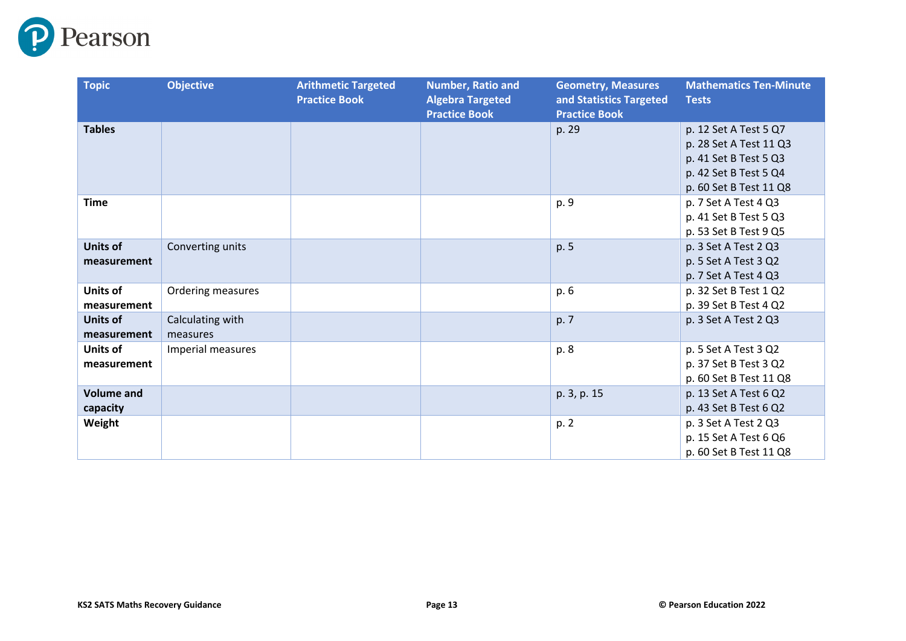

| <b>Topic</b>                   | <b>Objective</b>             | <b>Arithmetic Targeted</b><br><b>Practice Book</b> | <b>Number, Ratio and</b><br><b>Algebra Targeted</b><br><b>Practice Book</b> | <b>Geometry, Measures</b><br>and Statistics Targeted<br><b>Practice Book</b> | <b>Mathematics Ten-Minute</b><br><b>Tests</b>                                                                               |
|--------------------------------|------------------------------|----------------------------------------------------|-----------------------------------------------------------------------------|------------------------------------------------------------------------------|-----------------------------------------------------------------------------------------------------------------------------|
| <b>Tables</b>                  |                              |                                                    |                                                                             | p. 29                                                                        | p. 12 Set A Test 5 Q7<br>p. 28 Set A Test 11 Q3<br>p. 41 Set B Test 5 Q3<br>p. 42 Set B Test 5 Q4<br>p. 60 Set B Test 11 Q8 |
| <b>Time</b>                    |                              |                                                    |                                                                             | p. 9                                                                         | p. 7 Set A Test 4 Q3<br>p. 41 Set B Test 5 Q3<br>p. 53 Set B Test 9 Q5                                                      |
| <b>Units of</b><br>measurement | Converting units             |                                                    |                                                                             | p. 5                                                                         | p. 3 Set A Test 2 Q3<br>p. 5 Set A Test 3 Q2<br>p. 7 Set A Test 4 Q3                                                        |
| Units of<br>measurement        | Ordering measures            |                                                    |                                                                             | p. 6                                                                         | p. 32 Set B Test 1 Q2<br>p. 39 Set B Test 4 Q2                                                                              |
| Units of<br>measurement        | Calculating with<br>measures |                                                    |                                                                             | p. 7                                                                         | p. 3 Set A Test 2 Q3                                                                                                        |
| Units of<br>measurement        | Imperial measures            |                                                    |                                                                             | p. 8                                                                         | p. 5 Set A Test 3 Q2<br>p. 37 Set B Test 3 Q2<br>p. 60 Set B Test 11 Q8                                                     |
| <b>Volume and</b><br>capacity  |                              |                                                    |                                                                             | p. 3, p. 15                                                                  | p. 13 Set A Test 6 Q2<br>p. 43 Set B Test 6 Q2                                                                              |
| Weight                         |                              |                                                    |                                                                             | p. 2                                                                         | p. 3 Set A Test 2 Q3<br>p. 15 Set A Test 6 Q6<br>p. 60 Set B Test 11 Q8                                                     |